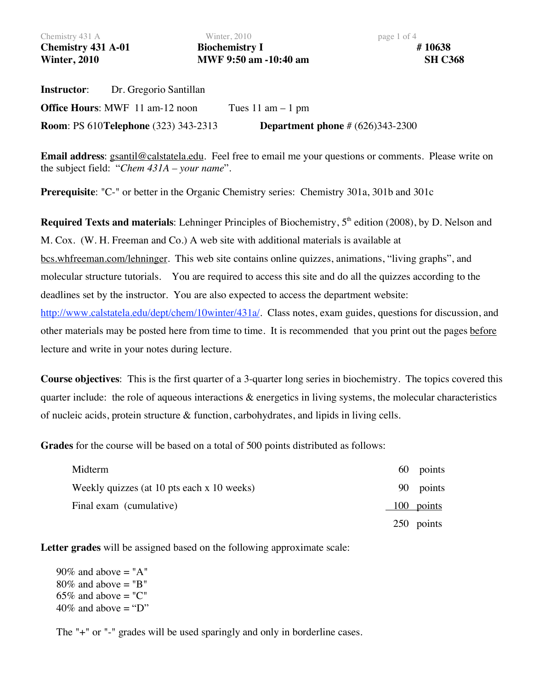Chemistry 431 A Winter, 2010 **page 1 of 4** and 2010 **Chemistry 431 A-01 Biochemistry I # 10638 Winter, 2010 MWF 9:50 am -10:40 am SH C368** 

**Instructor**: Dr. Gregorio Santillan **Office Hours:** MWF 11 am-12 noon Tues 11 am – 1 pm **Room**: PS 610**Telephone** (323) 343-2313 **Department phone** # (626)343-2300

**Email address**: gsantil@calstatela.edu. Feel free to email me your questions or comments. Please write on the subject field: "*Chem 431A – your name*".

**Prerequisite**: "C-" or better in the Organic Chemistry series: Chemistry 301a, 301b and 301c

**Required Texts and materials**: Lehninger Principles of Biochemistry, 5<sup>th</sup> edition (2008), by D. Nelson and M. Cox. (W. H. Freeman and Co.) A web site with additional materials is available at bcs.whfreeman.com/lehninger. This web site contains online quizzes, animations, "living graphs", and molecular structure tutorials. You are required to access this site and do all the quizzes according to the deadlines set by the instructor. You are also expected to access the department website: http://www.calstatela.edu/dept/chem/10winter/431a/. Class notes, exam guides, questions for discussion, and other materials may be posted here from time to time. It is recommended that you print out the pages before lecture and write in your notes during lecture.

**Course objectives**: This is the first quarter of a 3-quarter long series in biochemistry. The topics covered this quarter include: the role of aqueous interactions & energetics in living systems, the molecular characteristics of nucleic acids, protein structure & function, carbohydrates, and lipids in living cells.

**Grades** for the course will be based on a total of 500 points distributed as follows:

| Midterm                                    | 60 points  |
|--------------------------------------------|------------|
| Weekly quizzes (at 10 pts each x 10 weeks) | 90 points  |
| Final exam (cumulative)                    | 100 points |
|                                            | 250 points |

**Letter grades** will be assigned based on the following approximate scale:

 $90\%$  and above = "A"  $80\%$  and above = "B" 65% and above  $=$  "C" 40% and above  $=$  "D"

The "+" or "-" grades will be used sparingly and only in borderline cases.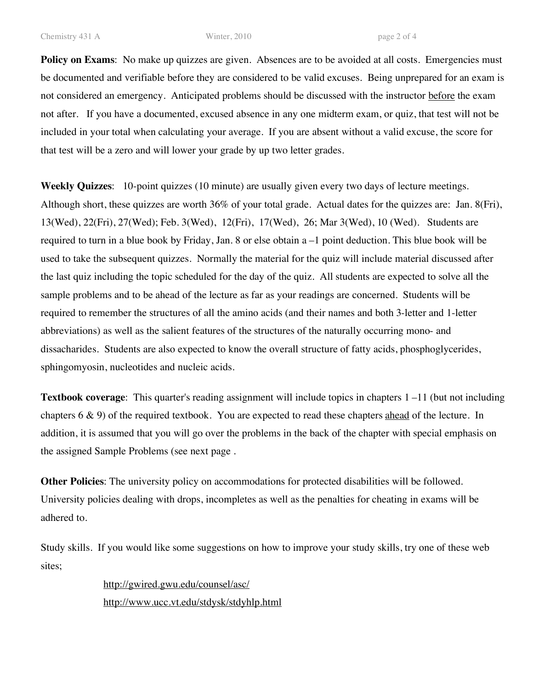**Policy on Exams:** No make up quizzes are given. Absences are to be avoided at all costs. Emergencies must be documented and verifiable before they are considered to be valid excuses. Being unprepared for an exam is not considered an emergency. Anticipated problems should be discussed with the instructor before the exam not after. If you have a documented, excused absence in any one midterm exam, or quiz, that test will not be included in your total when calculating your average. If you are absent without a valid excuse, the score for that test will be a zero and will lower your grade by up two letter grades.

**Weekly Quizzes**: 10-point quizzes (10 minute) are usually given every two days of lecture meetings. Although short, these quizzes are worth 36% of your total grade. Actual dates for the quizzes are: Jan. 8(Fri), 13(Wed), 22(Fri), 27(Wed); Feb. 3(Wed), 12(Fri), 17(Wed), 26; Mar 3(Wed), 10 (Wed). Students are required to turn in a blue book by Friday, Jan. 8 or else obtain a –1 point deduction. This blue book will be used to take the subsequent quizzes. Normally the material for the quiz will include material discussed after the last quiz including the topic scheduled for the day of the quiz. All students are expected to solve all the sample problems and to be ahead of the lecture as far as your readings are concerned. Students will be required to remember the structures of all the amino acids (and their names and both 3-letter and 1-letter abbreviations) as well as the salient features of the structures of the naturally occurring mono- and dissacharides. Students are also expected to know the overall structure of fatty acids, phosphoglycerides, sphingomyosin, nucleotides and nucleic acids.

**Textbook coverage**: This quarter's reading assignment will include topics in chapters 1 –11 (but not including chapters  $6 \& 9$ ) of the required textbook. You are expected to read these chapters ahead of the lecture. In addition, it is assumed that you will go over the problems in the back of the chapter with special emphasis on the assigned Sample Problems (see next page .

**Other Policies**: The university policy on accommodations for protected disabilities will be followed. University policies dealing with drops, incompletes as well as the penalties for cheating in exams will be adhered to.

Study skills. If you would like some suggestions on how to improve your study skills, try one of these web sites;

> http://gwired.gwu.edu/counsel/asc/ http://www.ucc.vt.edu/stdysk/stdyhlp.html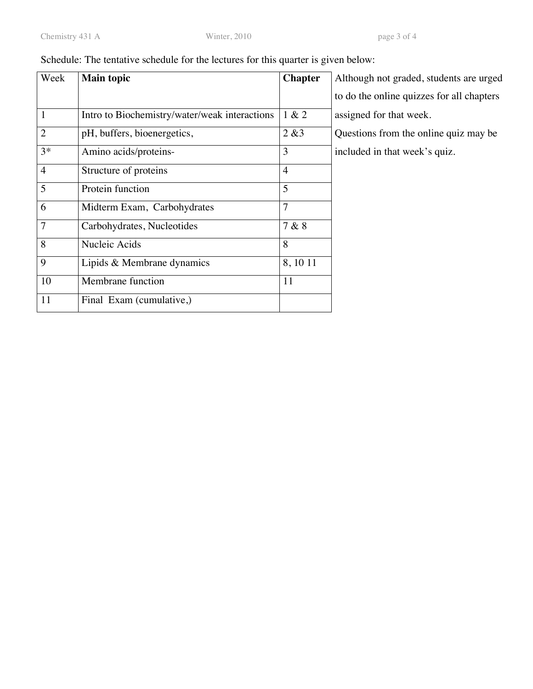| Schedule: The tentative schedule for the lectures for this quarter is given below: |  |
|------------------------------------------------------------------------------------|--|
|------------------------------------------------------------------------------------|--|

| Week           | <b>Main topic</b>                             | <b>Chapter</b> | Although not graded, students are urged   |
|----------------|-----------------------------------------------|----------------|-------------------------------------------|
|                |                                               |                | to do the online quizzes for all chapters |
| $\mathbf{1}$   | Intro to Biochemistry/water/weak interactions | 1 & 2          | assigned for that week.                   |
| $\overline{2}$ | pH, buffers, bioenergetics,                   | 2 & 83         | Questions from the online quiz may be     |
| $3*$           | Amino acids/proteins-                         | 3              | included in that week's quiz.             |
| $\overline{4}$ | Structure of proteins                         | $\overline{4}$ |                                           |
| 5              | Protein function                              | 5              |                                           |
| 6              | Midterm Exam, Carbohydrates                   | 7              |                                           |
| $\overline{7}$ | Carbohydrates, Nucleotides                    | 7 & 8          |                                           |
| 8              | Nucleic Acids                                 | 8              |                                           |
| 9              | Lipids & Membrane dynamics                    | 8, 10 11       |                                           |
| 10             | Membrane function                             | 11             |                                           |
| 11             | Final Exam (cumulative,)                      |                |                                           |